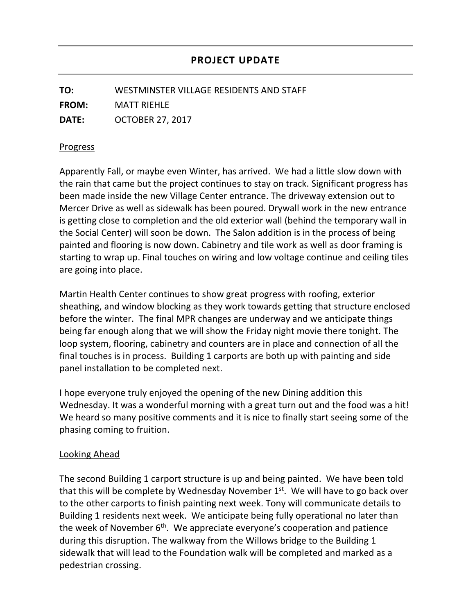**TO:** WESTMINSTER VILLAGE RESIDENTS AND STAFF **FROM:** MATT RIEHLE **DATE:** OCTOBER 27, 2017

## Progress

Apparently Fall, or maybe even Winter, has arrived. We had a little slow down with the rain that came but the project continues to stay on track. Significant progress has been made inside the new Village Center entrance. The driveway extension out to Mercer Drive as well as sidewalk has been poured. Drywall work in the new entrance is getting close to completion and the old exterior wall (behind the temporary wall in the Social Center) will soon be down. The Salon addition is in the process of being painted and flooring is now down. Cabinetry and tile work as well as door framing is starting to wrap up. Final touches on wiring and low voltage continue and ceiling tiles are going into place.

Martin Health Center continues to show great progress with roofing, exterior sheathing, and window blocking as they work towards getting that structure enclosed before the winter. The final MPR changes are underway and we anticipate things being far enough along that we will show the Friday night movie there tonight. The loop system, flooring, cabinetry and counters are in place and connection of all the final touches is in process. Building 1 carports are both up with painting and side panel installation to be completed next.

I hope everyone truly enjoyed the opening of the new Dining addition this Wednesday. It was a wonderful morning with a great turn out and the food was a hit! We heard so many positive comments and it is nice to finally start seeing some of the phasing coming to fruition.

## Looking Ahead

The second Building 1 carport structure is up and being painted. We have been told that this will be complete by Wednesday November  $1<sup>st</sup>$ . We will have to go back over to the other carports to finish painting next week. Tony will communicate details to Building 1 residents next week. We anticipate being fully operational no later than the week of November 6<sup>th</sup>. We appreciate everyone's cooperation and patience during this disruption. The walkway from the Willows bridge to the Building 1 sidewalk that will lead to the Foundation walk will be completed and marked as a pedestrian crossing.